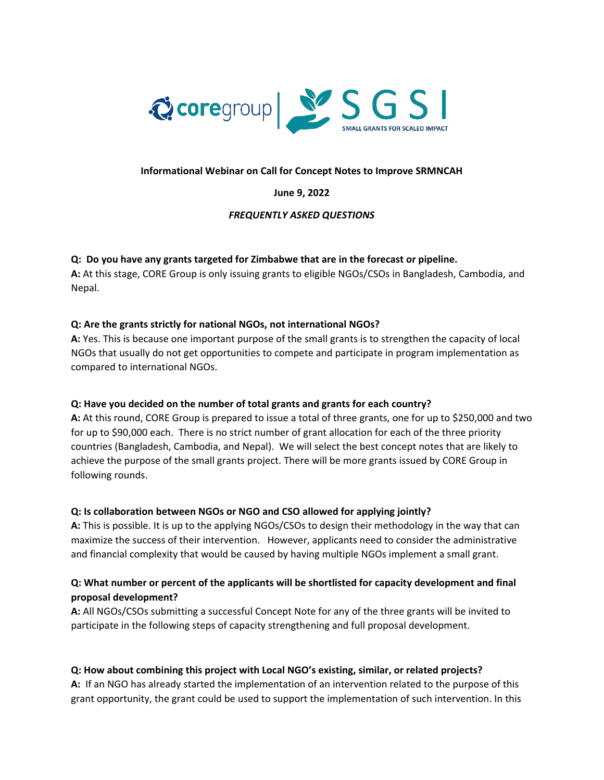

## **Informational Webinar on Call for Concept Notes to Improve SRMNCAH**

#### **June 9, 2022**

## *FREQUENTLY ASKED QUESTIONS*

## **Q: Do you have any grants targeted for Zimbabwe that are in the forecast or pipeline.**

**A:** At this stage, CORE Group is only issuing grants to eligible NGOs/CSOs in Bangladesh, Cambodia, and Nepal.

## **Q: Are the grants strictly for national NGOs, not international NGOs?**

**A:** Yes. This is because one important purpose of the small grants is to strengthen the capacity of local NGOs that usually do not get opportunities to compete and participate in program implementation as compared to international NGOs.

#### **Q: Have you decided on the number of total grants and grants for each country?**

**A:** At this round, CORE Group is prepared to issue a total of three grants, one for up to \$250,000 and two for up to \$90,000 each. There is no strict number of grant allocation for each of the three priority countries (Bangladesh, Cambodia, and Nepal). We will select the best concept notes that are likely to achieve the purpose of the small grants project. There will be more grants issued by CORE Group in following rounds.

#### **Q: Is collaboration between NGOs or NGO and CSO allowed for applying jointly?**

**A:** This is possible. It is up to the applying NGOs/CSOs to design their methodology in the way that can maximize the success of their intervention. However, applicants need to consider the administrative and financial complexity that would be caused by having multiple NGOs implement a small grant.

# **Q: What number or percent of the applicants will be shortlisted for capacity development and final proposal development?**

**A:** All NGOs/CSOs submitting a successful Concept Note for any of the three grants will be invited to participate in the following steps of capacity strengthening and full proposal development.

#### **Q: How about combining this project with Local NGO's existing, similar, or related projects?**

**A:** If an NGO has already started the implementation of an intervention related to the purpose of this grant opportunity, the grant could be used to support the implementation of such intervention. In this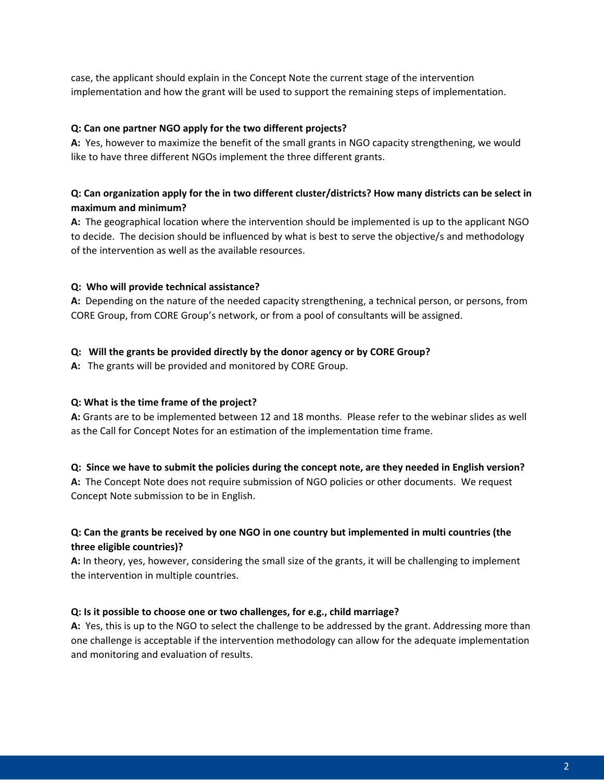case, the applicant should explain in the Concept Note the current stage of the intervention implementation and how the grant will be used to support the remaining steps of implementation.

## **Q: Can one partner NGO apply for the two different projects?**

**A:** Yes, however to maximize the benefit of the small grants in NGO capacity strengthening, we would like to have three different NGOs implement the three different grants.

# **Q: Can organization apply for the in two different cluster/districts? How many districts can be select in maximum and minimum?**

**A:** The geographical location where the intervention should be implemented is up to the applicant NGO to decide. The decision should be influenced by what is best to serve the objective/s and methodology of the intervention as well as the available resources.

# **Q: Who will provide technical assistance?**

**A:** Depending on the nature of the needed capacity strengthening, a technical person, or persons, from CORE Group, from CORE Group's network, or from a pool of consultants will be assigned.

## **Q: Will the grants be provided directly by the donor agency or by CORE Group?**

**A:** The grants will be provided and monitored by CORE Group.

# **Q: What is the time frame of the project?**

**A:** Grants are to be implemented between 12 and 18 months. Please refer to the webinar slides as well as the Call for Concept Notes for an estimation of the implementation time frame.

# **Q: Since we have to submit the policies during the concept note, are they needed in English version?**

**A:** The Concept Note does not require submission of NGO policies or other documents. We request Concept Note submission to be in English.

# **Q: Can the grants be received by one NGO in one country but implemented in multi countries (the three eligible countries)?**

**A:** In theory, yes, however, considering the small size of the grants, it will be challenging to implement the intervention in multiple countries.

#### **Q: Is it possible to choose one or two challenges, for e.g., child marriage?**

**A:** Yes, this is up to the NGO to select the challenge to be addressed by the grant. Addressing more than one challenge is acceptable if the intervention methodology can allow for the adequate implementation and monitoring and evaluation of results.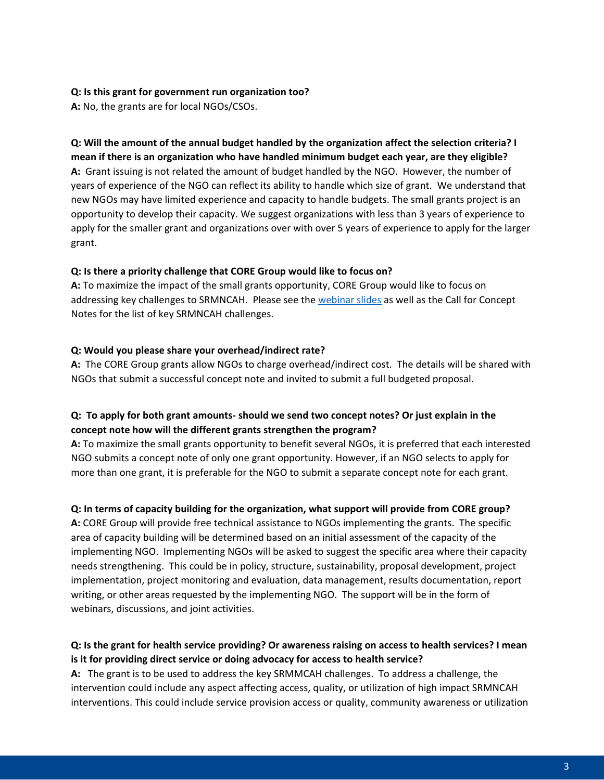#### **Q: Is this grant for government run organization too?**

**A:** No, the grants are for local NGOs/CSOs.

# **Q: Will the amount of the annual budget handled by the organization affect the selection criteria? I mean if there is an organization who have handled minimum budget each year, are they eligible? A:** Grant issuing is not related the amount of budget handled by the NGO. However, the number of years of experience of the NGO can reflect its ability to handle which size of grant. We understand that new NGOs may have limited experience and capacity to handle budgets. The small grants project is an opportunity to develop their capacity. We suggest organizations with less than 3 years of experience to apply for the smaller grant and organizations over with over 5 years of experience to apply for the larger grant.

#### **Q: Is there a priority challenge that CORE Group would like to focus on?**

**A:** To maximize the impact of the small grants opportunity, CORE Group would like to focus on addressing key challenges to SRMNCAH. Please see the [webinar slides](https://coregroup.org/wp-content/uploads/2022/06/Small-Grants-Informational-Webinar.pdf) as well as the Call for Concept Notes for the list of key SRMNCAH challenges.

#### **Q: Would you please share your overhead/indirect rate?**

**A:** The CORE Group grants allow NGOs to charge overhead/indirect cost. The details will be shared with NGOs that submit a successful concept note and invited to submit a full budgeted proposal.

## **Q: To apply for both grant amounts- should we send two concept notes? Or just explain in the concept note how will the different grants strengthen the program?**

**A:** To maximize the small grants opportunity to benefit several NGOs, it is preferred that each interested NGO submits a concept note of only one grant opportunity. However, if an NGO selects to apply for more than one grant, it is preferable for the NGO to submit a separate concept note for each grant.

#### **Q: In terms of capacity building for the organization, what support will provide from CORE group?**

**A:** CORE Group will provide free technical assistance to NGOs implementing the grants. The specific area of capacity building will be determined based on an initial assessment of the capacity of the implementing NGO. Implementing NGOs will be asked to suggest the specific area where their capacity needs strengthening. This could be in policy, structure, sustainability, proposal development, project implementation, project monitoring and evaluation, data management, results documentation, report writing, or other areas requested by the implementing NGO. The support will be in the form of webinars, discussions, and joint activities.

# **Q: Is the grant for health service providing? Or awareness raising on access to health services? I mean is it for providing direct service or doing advocacy for access to health service?**

**A:** The grant is to be used to address the key SRMMCAH challenges. To address a challenge, the intervention could include any aspect affecting access, quality, or utilization of high impact SRMNCAH interventions. This could include service provision access or quality, community awareness or utilization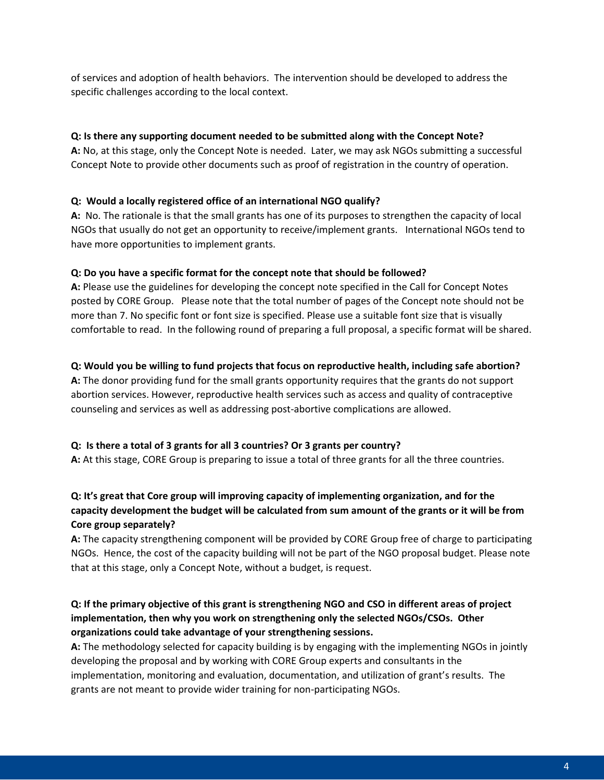of services and adoption of health behaviors. The intervention should be developed to address the specific challenges according to the local context.

## **Q: Is there any supporting document needed to be submitted along with the Concept Note?**

**A:** No, at this stage, only the Concept Note is needed. Later, we may ask NGOs submitting a successful Concept Note to provide other documents such as proof of registration in the country of operation.

## **Q: Would a locally registered office of an international NGO qualify?**

**A:** No. The rationale is that the small grants has one of its purposes to strengthen the capacity of local NGOs that usually do not get an opportunity to receive/implement grants. International NGOs tend to have more opportunities to implement grants.

#### **Q: Do you have a specific format for the concept note that should be followed?**

**A:** Please use the guidelines for developing the concept note specified in the Call for Concept Notes posted by CORE Group. Please note that the total number of pages of the Concept note should not be more than 7. No specific font or font size is specified. Please use a suitable font size that is visually comfortable to read. In the following round of preparing a full proposal, a specific format will be shared.

## **Q: Would you be willing to fund projects that focus on reproductive health, including safe abortion?**

**A:** The donor providing fund for the small grants opportunity requires that the grants do not support abortion services. However, reproductive health services such as access and quality of contraceptive counseling and services as well as addressing post-abortive complications are allowed.

# **Q: Is there a total of 3 grants for all 3 countries? Or 3 grants per country?**

**A:** At this stage, CORE Group is preparing to issue a total of three grants for all the three countries.

# **Q: It's great that Core group will improving capacity of implementing organization, and for the capacity development the budget will be calculated from sum amount of the grants or it will be from Core group separately?**

**A:** The capacity strengthening component will be provided by CORE Group free of charge to participating NGOs. Hence, the cost of the capacity building will not be part of the NGO proposal budget. Please note that at this stage, only a Concept Note, without a budget, is request.

# **Q: If the primary objective of this grant is strengthening NGO and CSO in different areas of project implementation, then why you work on strengthening only the selected NGOs/CSOs. Other organizations could take advantage of your strengthening sessions.**

**A:** The methodology selected for capacity building is by engaging with the implementing NGOs in jointly developing the proposal and by working with CORE Group experts and consultants in the implementation, monitoring and evaluation, documentation, and utilization of grant's results. The grants are not meant to provide wider training for non-participating NGOs.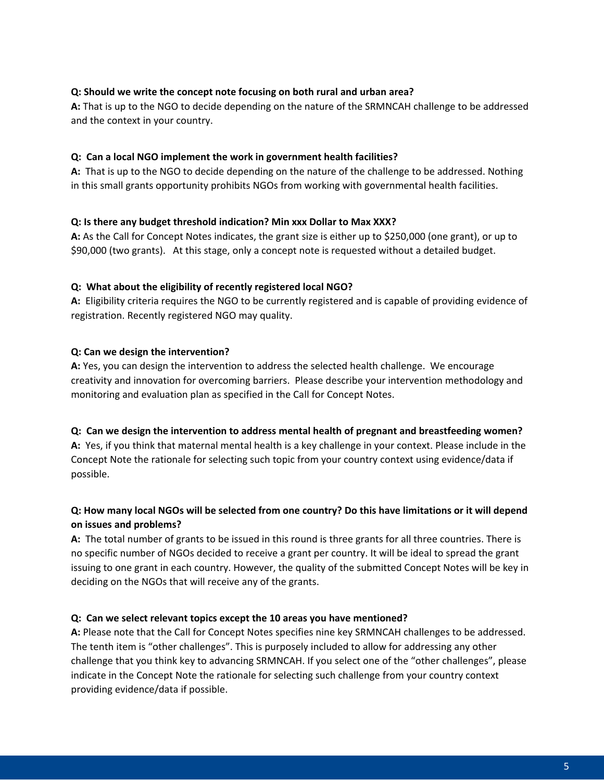## **Q: Should we write the concept note focusing on both rural and urban area?**

**A:** That is up to the NGO to decide depending on the nature of the SRMNCAH challenge to be addressed and the context in your country.

#### **Q: Can a local NGO implement the work in government health facilities?**

**A:** That is up to the NGO to decide depending on the nature of the challenge to be addressed. Nothing in this small grants opportunity prohibits NGOs from working with governmental health facilities.

#### **Q: Is there any budget threshold indication? Min xxx Dollar to Max XXX?**

**A:** As the Call for Concept Notes indicates, the grant size is either up to \$250,000 (one grant), or up to \$90,000 (two grants). At this stage, only a concept note is requested without a detailed budget.

## **Q: What about the eligibility of recently registered local NGO?**

**A:** Eligibility criteria requires the NGO to be currently registered and is capable of providing evidence of registration. Recently registered NGO may quality.

## **Q: Can we design the intervention?**

**A:** Yes, you can design the intervention to address the selected health challenge. We encourage creativity and innovation for overcoming barriers. Please describe your intervention methodology and monitoring and evaluation plan as specified in the Call for Concept Notes.

#### **Q: Can we design the intervention to address mental health of pregnant and breastfeeding women?**

**A:** Yes, if you think that maternal mental health is a key challenge in your context. Please include in the Concept Note the rationale for selecting such topic from your country context using evidence/data if possible.

# **Q: How many local NGOs will be selected from one country? Do this have limitations or it will depend on issues and problems?**

**A:** The total number of grants to be issued in this round is three grants for all three countries. There is no specific number of NGOs decided to receive a grant per country. It will be ideal to spread the grant issuing to one grant in each country. However, the quality of the submitted Concept Notes will be key in deciding on the NGOs that will receive any of the grants.

#### **Q: Can we select relevant topics except the 10 areas you have mentioned?**

**A:** Please note that the Call for Concept Notes specifies nine key SRMNCAH challenges to be addressed. The tenth item is "other challenges". This is purposely included to allow for addressing any other challenge that you think key to advancing SRMNCAH. If you select one of the "other challenges", please indicate in the Concept Note the rationale for selecting such challenge from your country context providing evidence/data if possible.